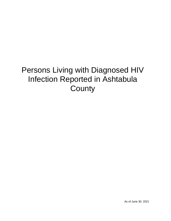# Persons Living with Diagnosed HIV Infection Reported in Ashtabula **County**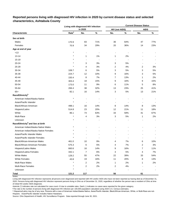| Characteristic<br>Sex at birth<br>Males<br>Females<br>Age at end of year<br>< 13<br>13-14<br>15-19<br>20-24<br>25-29<br>30-34<br>35-39<br>40-44<br>45-49<br>50-54 |                   | Living with diagnosed HIV infection |                          | <b>Current Disease Status</b> |        |                         |       |  |  |  |
|-------------------------------------------------------------------------------------------------------------------------------------------------------------------|-------------------|-------------------------------------|--------------------------|-------------------------------|--------|-------------------------|-------|--|--|--|
|                                                                                                                                                                   |                   | in 2020                             |                          | <b>HIV (not AIDS)</b>         |        | <b>AIDS</b>             |       |  |  |  |
|                                                                                                                                                                   | Rate <sup>a</sup> | No.                                 | $\%$                     | No.                           | $\%$   | No.                     | $\%$  |  |  |  |
|                                                                                                                                                                   |                   |                                     |                          |                               |        |                         |       |  |  |  |
|                                                                                                                                                                   | 170.9             | 83                                  | 71%                      | 36                            | 64%    | 47                      | 77%   |  |  |  |
|                                                                                                                                                                   | 70.9              | 34                                  | 29%                      | 20                            | 36%    | 14                      | 23%   |  |  |  |
|                                                                                                                                                                   |                   |                                     |                          |                               |        |                         |       |  |  |  |
|                                                                                                                                                                   | $\star$           | ۰                                   | $\overline{\phantom{a}}$ | $\overline{\phantom{a}}$      |        |                         |       |  |  |  |
|                                                                                                                                                                   |                   | 1                                   | 1%                       | 1                             | 2%     |                         |       |  |  |  |
|                                                                                                                                                                   |                   |                                     | $\overline{\phantom{a}}$ |                               | $\sim$ |                         |       |  |  |  |
|                                                                                                                                                                   |                   | 3                                   | 3%                       | 3                             | 5%     |                         |       |  |  |  |
|                                                                                                                                                                   |                   | 4                                   | 3%                       | 2                             | 4%     | 2                       | 3%    |  |  |  |
|                                                                                                                                                                   | 108.7             | 6                                   | 5%                       | 3                             | 5%     | 3                       | 5%    |  |  |  |
|                                                                                                                                                                   | 224.7             | 12                                  | 10%                      | 9                             | 16%    | 3                       | 5%    |  |  |  |
|                                                                                                                                                                   | 150.4             | 8                                   | 7%                       | 7                             | 13%    | 1                       | 2%    |  |  |  |
|                                                                                                                                                                   | 303.4             | 18                                  | 15%                      | 9                             | 16%    | 9                       | 15%   |  |  |  |
|                                                                                                                                                                   | 173.0             | 11                                  | 9%                       | 6                             | 11%    | 5                       | 8%    |  |  |  |
| 55-64                                                                                                                                                             | 266.4             | 38                                  | 32%                      | 13                            | 23%    | 25                      | 41%   |  |  |  |
| $65+$                                                                                                                                                             | 82.1              | 16                                  | 14%                      | 3                             | 5%     | 13                      | 21%   |  |  |  |
| Race/Ethnicity <sup>b</sup>                                                                                                                                       |                   |                                     |                          |                               |        |                         |       |  |  |  |
| American Indian/Alaska Native                                                                                                                                     |                   |                                     |                          |                               |        |                         |       |  |  |  |
| Asian/Pacific Islander                                                                                                                                            |                   | $\overline{\phantom{a}}$            |                          |                               |        |                         |       |  |  |  |
| Black/African-American                                                                                                                                            | 498.1             | 16                                  | 14%                      | 8                             | 14%    | 8                       | 13%   |  |  |  |
| Hispanic/Latinx                                                                                                                                                   | 514.8             | 23                                  | 20%                      | 12                            | 21%    | 11                      | 18%   |  |  |  |
| White                                                                                                                                                             | 86.1              | 74                                  | 63%                      | 33                            | 59%    | 41                      | 67%   |  |  |  |
| Multi-Race                                                                                                                                                        | $\star$           | 4                                   | 3%                       | 3                             | 5%     | 1                       | 2%    |  |  |  |
| Unknown                                                                                                                                                           |                   |                                     |                          |                               |        |                         |       |  |  |  |
| Race/Ethnicity <sup>b</sup> and Sex at birth                                                                                                                      |                   |                                     |                          |                               |        |                         |       |  |  |  |
| American Indian/Alaska Native Males                                                                                                                               | $^{\star}$        |                                     |                          |                               |        |                         |       |  |  |  |
| American Indian/Alaska Native Females                                                                                                                             |                   |                                     |                          |                               |        |                         |       |  |  |  |
| Asian/Pacific Islander Males                                                                                                                                      |                   |                                     |                          |                               |        |                         |       |  |  |  |
| Asian/Pacific Islander Females                                                                                                                                    |                   |                                     |                          |                               |        |                         |       |  |  |  |
| Black/African-American Males                                                                                                                                      | 461.0             | 10                                  | 9%                       | 4                             | 7%     | 6                       | 10%   |  |  |  |
| Black/African-American Females                                                                                                                                    | 575.3             | 6                                   | $5\%$                    | 4                             | $7\%$  | 2                       | $3%$  |  |  |  |
| Hispanic/Latino Males                                                                                                                                             | 660.6             | $16$                                | 14%                      | 9                             | 16%    | $\overline{7}$          | 11%   |  |  |  |
| Hispanic/Latina Females                                                                                                                                           | 342.1             | $\overline{7}$                      | $6\%$                    | 3                             | 5%     | $\overline{\mathbf{4}}$ | $7\%$ |  |  |  |
| <b>White Males</b>                                                                                                                                                | 129.2             | 55                                  | 47%                      | 22                            | 39%    | 33                      | 54%   |  |  |  |
| <b>White Females</b>                                                                                                                                              | 43.8              | 19                                  | 16%                      | 11                            | 20%    | 8                       | 13%   |  |  |  |
| <b>Multi-Race Males</b>                                                                                                                                           | $\star$           | 2                                   | $2\%$                    | 1                             | 2%     | 1                       | 2%    |  |  |  |
| <b>Multi-Race Females</b>                                                                                                                                         | $\star$           | $\overline{c}$                      | $2\%$                    | 2                             | 4%     |                         |       |  |  |  |
| Unknown                                                                                                                                                           | $\star$           |                                     |                          |                               |        |                         |       |  |  |  |
| <b>Total</b>                                                                                                                                                      | 121.2             | 117                                 |                          | 56                            |        | 61                      |       |  |  |  |

# **Reported persons living with diagnosed HIV infection in 2020 by current disease status and selected characteristics, Ashtabula County**

Living with diagnosed HIV infection represents all persons ever diagnosed and reported with HIV and/or AIDS who have not been reported as having died as of December 31, 2020. Persons living with diagnosed HIV infection represent persons living in Ohio as of December 31, 2020, regardless of whether the person was a resident of Ohio at time of initial HIV and/or AIDS diagnosis.

Asterisk (\*) indicates rate not calculated for case count <5 due to unstable rates. Dash (-) indicates no cases were reported for the given category.

a The rate is the number of persons living with diagnosed HIV infection per 100,000 population calculated using 2020 U.S. Census estimates.

ᵇ Hispanics/Latinx may be of any race. Persons with a race of American Indian/Alaska Native, Asian/Pacific Islander, Black/African-American, White, or Multi-Race are not-Hispanic. Asian/Pacific Islander includes Native Hawaiians.

Notes: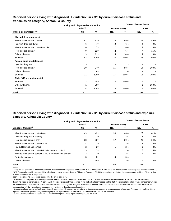# **Reported persons living with diagnosed HIV infection in 2020 by current disease status and transmission category, Ashtabula County**

|                                          | Living with diagnosed HIV infection |      | <b>Current Disease Status</b> |      |                |      |  |  |  |
|------------------------------------------|-------------------------------------|------|-------------------------------|------|----------------|------|--|--|--|
|                                          | in 2020                             |      | <b>HIV (not AIDS)</b>         |      | <b>AIDS</b>    |      |  |  |  |
| <b>Transmission Category<sup>a</sup></b> | No.                                 | %    | No.                           | %    | No.            | %    |  |  |  |
| Male adult or adolescent                 |                                     |      |                               |      |                |      |  |  |  |
| Male-to-male sexual contact              | 52                                  | 63%  | 25                            | 69%  | 27             | 59%  |  |  |  |
| Injection drug use (IDU)                 | 6                                   | 7%   | 2                             | 6%   | 4              | 9%   |  |  |  |
| Male-to-male sexual contact and IDU      | 6                                   | 7%   | 2                             | 6%   | 4              | 9%   |  |  |  |
| Heterosexual contact                     | 9                                   | 11%  | 2                             | 6%   | $\overline{7}$ | 15%  |  |  |  |
| Other/unknown                            | 9                                   | 11%  | 5                             | 14%  | 4              | 9%   |  |  |  |
| Subtotal                                 | 82                                  | 100% | 36                            | 100% | 46             | 100% |  |  |  |
| Female adult or adolescent               |                                     |      |                               |      |                |      |  |  |  |
| Injection drug use                       |                                     |      |                               |      |                |      |  |  |  |
| Heterosexual contact                     | 29                                  | 94%  | 15                            | 88%  | 14             | 100% |  |  |  |
| Other/unknown                            | $\overline{2}$                      | 6%   | 2                             | 12%  |                |      |  |  |  |
| Subtotal                                 | 31                                  | 100% | 17                            | 100% | 14             | 100% |  |  |  |
| Child (<13 yrs at diagnosis)             |                                     |      |                               |      |                |      |  |  |  |
| Perinatal                                | 3                                   | 75%  | 3                             | 100% |                |      |  |  |  |
| Other/unknown                            |                                     | 25%  |                               |      | 1              | 100% |  |  |  |
| Subtotal                                 | 4                                   | 100% | 3                             | 100% |                | 100% |  |  |  |
| Total                                    | 117                                 |      | 56                            |      | 61             |      |  |  |  |

# **Reported persons living with diagnosed HIV infection in 2020 by current disease status and exposure category, Ashtabula County**

|                                                          | Living with diagnosed HIV infection |     | <b>Current Disease Status</b> |     |             |     |  |  |  |  |
|----------------------------------------------------------|-------------------------------------|-----|-------------------------------|-----|-------------|-----|--|--|--|--|
|                                                          | in 2020                             |     | <b>HIV (not AIDS)</b>         |     | <b>AIDS</b> |     |  |  |  |  |
| <b>Exposure Category</b> <sup>b</sup>                    | No.                                 | %   | No.                           | %   | No.         | %   |  |  |  |  |
| Male-to-male sexual contact only                         | 49                                  | 42% | 24                            | 43% | 25          | 41% |  |  |  |  |
| Injection drug use (IDU) only                            | 4                                   | 3%  |                               | 2%  | 3           | 5%  |  |  |  |  |
| Heterosexual contact only                                | 38                                  | 32% | 17                            | 30% | 21          | 34% |  |  |  |  |
| Male-to-male sexual contact & IDU                        | 4                                   | 3%  |                               | 2%  | 3           | 5%  |  |  |  |  |
| <b>IDU &amp; Heterosexual contact</b>                    | 2                                   | 2%  |                               | 2%  |             | 2%  |  |  |  |  |
| Male-to-male sexual contact & Heterosexual contact       | 3                                   | 3%  |                               | 2%  | 2           | 3%  |  |  |  |  |
| Male-to-male sexual contact & IDU & Heterosexual contact | 2                                   | 2%  |                               | 2%  |             | 2%  |  |  |  |  |
| Perinatal exposure                                       | 3                                   | 3%  | 3                             | 5%  |             |     |  |  |  |  |
| Other/unknown                                            | 12                                  | 10% | 7                             | 13% | 5           | 8%  |  |  |  |  |
| Total                                                    | 117                                 |     | 56                            |     | 61          |     |  |  |  |  |

Notes:

Living with diagnosed HIV infection represents all persons ever diagnosed and reported with HIV and/or AIDS who have not been reported as having died as of December 31, 2020. Persons living with diagnosed HIV infection represent persons living in Ohio as of December 31, 2020, regardless of whether the person was a resident of Ohio at time of initial HIV and/or AIDS diagnosis.

Dash (-) indicates no cases were reported for the given category.

a Transmission categories are mutually exclusive, hierarchical risk categories determined by the CDC and system-calculated using sex at birth and risk factor history to determine mode of transmission. A person with multiple risks is only represented in the highest category based on the CDC hierarchical algorithm. Thus, transgender women are included in the male-to-male sexual contact transmission category if assigned male at birth and risk factor history indicates sex with males. Please note this is for the categorization of HIV transmission categories only and not to describe sexual orientation.

**b** Exposure categories are mutually exclusive risk categories. All possible combinations of risks are represented among exposure categories. A person with multiple risks is represented in the exposure category identifying all the reported ways in which that person may have been exposed to HIV.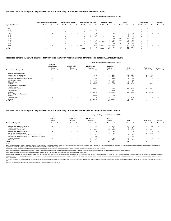|                    |                   | American Indian/Alaska Native |                          | <b>Asian/Pacific Islander</b> |                |                          | <b>Black/African-American</b> |      |                          | Hispanic/ Latinx <sup>a</sup> |     |     | White             |                          |     | <b>Multi-Race</b> |       |   | <b>Unknown</b> |   |
|--------------------|-------------------|-------------------------------|--------------------------|-------------------------------|----------------|--------------------------|-------------------------------|------|--------------------------|-------------------------------|-----|-----|-------------------|--------------------------|-----|-------------------|-------|---|----------------|---|
| Age at end of year | Rate <sup>b</sup> | No.                           | %                        | Rate <sup>p</sup>             | No.            | %                        | Rate <sup>r</sup>             | No.  | %                        | Rate <sup>r</sup>             | No. | %   | Rate <sup>r</sup> | No.                      | %   | Rate <sup>p</sup> | No.   | % | No.            | % |
| < 13               |                   | $\sim$                        |                          |                               |                |                          |                               |      |                          |                               |     |     |                   |                          |     |                   | $5$   |   |                |   |
| $13 - 14$          |                   |                               |                          |                               |                | $\sim$                   |                               |      | 6%                       |                               |     |     |                   | $\overline{\phantom{a}}$ |     |                   | $<$ 5 |   |                |   |
| $15 - 19$          |                   | $\overline{\phantom{a}}$      | $\overline{\phantom{a}}$ |                               |                | $\sim$                   |                               | $\,$ | $\overline{\phantom{a}}$ | $\ast$                        |     |     | $\star$           | $\sim$                   |     |                   | <5    |   |                |   |
| $20 - 24$          |                   |                               |                          |                               |                | $\overline{\phantom{a}}$ |                               |      |                          |                               |     | 4%  | $\star$           |                          | 3%  |                   | <5    |   |                |   |
| 25-29              |                   |                               |                          |                               |                | $\sim$                   |                               |      | 6%                       | $\ast$                        |     |     | $\star$           |                          | 4%  |                   | < 5   |   |                |   |
| 30-34              |                   |                               |                          |                               |                | $\sim$                   |                               |      | 13%                      | $\star$                       |     | 4%  | $\star$           |                          | 3%  |                   | $<$ 5 |   |                |   |
| 35-39              |                   |                               |                          |                               |                | $\overline{\phantom{a}}$ |                               |      |                          | $\ast$                        |     | 4%  | 216.2             | 10                       | 14% |                   | < 5   |   |                |   |
| 40-44              |                   |                               |                          |                               |                | $\overline{\phantom{a}}$ |                               |      | 6%                       |                               |     | 9%  | 105.7             | 5                        | 7%  |                   | <5    |   |                |   |
| 45-49              |                   |                               |                          |                               |                | $\,$ $\,$                |                               |      | 6%                       | .845.0                        |     | 22% | 186.5             | 10                       | 14% |                   | <5    |   |                |   |
| 50-54              |                   |                               |                          |                               |                |                          |                               |      | 13%                      |                               |     | 4%  | 136.5             | 8                        | 11% |                   | <5    |   |                |   |
| 55-64              |                   |                               |                          |                               | $\blacksquare$ | $\,$ $\,$                | 1,837.3                       |      | 44%                      | 3,344.5                       | 10  | 43% | 157.2             | 21                       | 28% |                   | <5    |   |                |   |
| $65+$              |                   |                               |                          |                               |                | $\overline{\phantom{a}}$ |                               |      | 6%                       |                               |     | 9%  | 69.9              | 13                       | 18% |                   | < 5   |   |                |   |
| Total              |                   |                               |                          |                               |                |                          | 498.1                         | 16   |                          | 514.8                         | 23  |     | 86.1              | 74                       |     |                   |       |   |                |   |

|                                           |                                            |        |                                  |        |                                   |      |                                  | Living with diagnosed HIV infection in 2020 |                          |                          |                   |      |                |                          |
|-------------------------------------------|--------------------------------------------|--------|----------------------------------|--------|-----------------------------------|------|----------------------------------|---------------------------------------------|--------------------------|--------------------------|-------------------|------|----------------|--------------------------|
|                                           | American<br>Indian/Alaska<br><b>Native</b> |        | Asian/Pacific<br><b>Islander</b> |        | <b>Black/African-</b><br>American |      | Hispanic/<br>Latinx <sup>a</sup> |                                             | White                    |                          | <b>Multi-Race</b> |      | <b>Unknown</b> |                          |
| <b>Transmission Category</b> <sup>c</sup> | No.                                        | %      | No.                              | %      | No.                               | %    | No.                              | %                                           | No.                      | %                        | No.               | %    | No.            | %                        |
| Male adult or adolescent                  |                                            |        |                                  |        |                                   |      |                                  |                                             |                          |                          |                   |      |                |                          |
| Male-to-male sexual contact               | $\blacksquare$                             |        | $\sim$                           |        | 4                                 | 40%  |                                  | 25%                                         | 43                       | 80%                      |                   | 50%  | $\sim$         | $\,$ $\,$                |
| Injection drug use (IDU)                  | $\overline{\phantom{a}}$                   |        | $\sim$                           | $\sim$ | -                                 |      | 3                                | 19%                                         | $\overline{2}$           | 4%                       |                   | 50%  | $\sim$         | $\overline{\phantom{a}}$ |
| Male-to-male sexual contact and IDU       |                                            |        | $\sim$                           |        |                                   | 10%  | ົ                                | 13%                                         | 3                        | 6%                       |                   |      |                |                          |
| Heterosexual contact                      | $\sim$                                     |        | $\sim$                           |        |                                   | 20%  |                                  | 31%                                         | ົ                        | 4%                       |                   |      |                | $\,$ $\,$                |
| Other/unknown                             | $\blacksquare$                             | $\sim$ | $\sim$                           | $\sim$ |                                   | 30%  |                                  | 13%                                         |                          | 7%                       | $\sim$            |      | $\blacksquare$ | $\blacksquare$           |
| Subtotal                                  | $\sim$                                     |        | $\sim$                           |        | 10                                | 100% | 16                               | 100%                                        | 54                       | 100%                     | $\overline{2}$    | 100% | $\sim$         | $\blacksquare$           |
| Female adult or adolescent                |                                            |        |                                  |        |                                   |      |                                  |                                             |                          |                          |                   |      |                |                          |
| Injection drug use                        | $\blacksquare$                             |        | $\sim$                           |        |                                   |      |                                  |                                             |                          | $\overline{\phantom{a}}$ |                   |      |                | $\,$ $\,$                |
| Heterosexual contact                      |                                            |        | $\sim$                           |        | 4                                 | 100% | 5                                | 83%                                         | 18                       | 95%                      | 2                 | 100% |                |                          |
| Other/unknown                             |                                            |        | <b>Section</b>                   |        |                                   |      |                                  | 17%                                         |                          | 5%                       |                   |      |                |                          |
| Subtotal                                  | $\blacksquare$                             |        | $\sim$                           |        | 4                                 | 100% | 6                                | 100%                                        | 19                       | 100%                     | $\overline{2}$    | 100% | $\sim$         | $\,$ $\,$                |
| Child (<13 yrs at diagnosis)              |                                            |        |                                  |        |                                   |      |                                  |                                             |                          |                          |                   |      |                |                          |
| Perinatal                                 | $\sim$                                     |        | $\sim$                           |        | $2^{\circ}$                       | 100% |                                  | 100%                                        | $\overline{\phantom{a}}$ | $\overline{\phantom{a}}$ |                   |      |                |                          |
| Other/unknown                             | $\sim$                                     |        | $\sim$                           | $\sim$ | $\sim$                            |      | $\overline{\phantom{a}}$         |                                             |                          | 100%                     | $\sim$            |      |                | $\overline{\phantom{0}}$ |
| Subtotal                                  | $\sim$                                     |        | $\sim$                           |        | $\overline{2}$                    | 100% |                                  | 100%                                        |                          | 100%                     |                   |      |                |                          |
| <b>Total</b>                              | $\overline{\phantom{a}}$                   |        | $\overline{\phantom{0}}$         |        | 16                                |      | 23                               |                                             | 74                       |                          |                   |      |                |                          |

© Transmission categories are mutually exclusive, hierarchical risk categories determined by the CDC and system-calculated using sex at birth and risk factor history to determine mode of transmission. A person with multip hierarchical algorithm. Thus, transgender women are included in the male-to-male sexual contact transmission category if assigned male at birth and risk factor history indicates sex with males. Please note this is for the sexual orientation.

<sup>d</sup> Exposure categories are mutually exclusive risk categories. All possible combinations of risks are represented among exposure categories. A person with multiple risks is represented in the exposure category identifying

|                                                          | American<br>Indian/Alaska<br><b>Native</b> |                          | Asian/Pacific<br><b>Islander</b> |                          | <b>Black/African-</b><br>American |                          | Hispanic/<br>Latinx <sup>a</sup> |     | White    |     | <b>Multi-Race</b> |               | Unknown                  |   |
|----------------------------------------------------------|--------------------------------------------|--------------------------|----------------------------------|--------------------------|-----------------------------------|--------------------------|----------------------------------|-----|----------|-----|-------------------|---------------|--------------------------|---|
| <b>Exposure Category<sup>d</sup></b>                     | No.                                        |                          | No.                              |                          | No.                               |                          | No.                              |     | No.      |     | No.               | $\frac{0}{6}$ | No.                      | % |
| Male-to-male sexual contact only                         |                                            |                          | $\sim$                           | . .                      |                                   | 19%                      |                                  | 17% | 41       | 55% |                   | 25%           |                          |   |
| Injection drug use (IDU) only                            |                                            | . .                      |                                  | . .                      |                                   | -                        |                                  | 9%  |          | 3%  |                   |               |                          |   |
| Heterosexual contact only                                |                                            | $\overline{\phantom{a}}$ | $\sim$                           | $\sim$                   | 6                                 | 38%                      | 10                               | 43% | 20       | 27% |                   | 50%           | $\overline{\phantom{0}}$ |   |
| Male-to-male sexual contact & IDU                        |                                            | $\overline{\phantom{a}}$ |                                  | $\overline{\phantom{a}}$ |                                   | $\overline{\phantom{a}}$ |                                  | 9%  | <u>_</u> | 3%  | -                 |               |                          |   |
| IDU & Heterosexual contact                               |                                            |                          | $\sim$                           |                          | $\sim$                            | $\overline{\phantom{a}}$ |                                  | 4%  |          | . . |                   | 25%           |                          |   |
| Male-to-male sexual contact & Heterosexual contact       |                                            | . .                      |                                  | . .                      |                                   | 6%                       |                                  | . . |          | 3%  |                   |               |                          |   |
| Male-to-male sexual contact & IDU & Heterosexual contact |                                            |                          |                                  | . .                      |                                   | 6%                       |                                  |     |          | 1%  |                   |               |                          |   |
| Perinatal exposure                                       |                                            | . .                      | $\sim$                           | . .                      |                                   | 13%                      |                                  | 4%  |          | . . |                   |               |                          |   |
| Other/unknown                                            | $\sim$                                     | $\overline{\phantom{a}}$ | $\sim$                           | $\sim$                   |                                   | 19%                      |                                  | 13% | 6        | 8%  |                   |               |                          |   |
| Total                                                    |                                            |                          |                                  |                          | 16                                |                          | 23                               |     | 74       |     |                   |               |                          |   |

Notes:

Living with diagnosed HIV infection represents all persons ever diagnosed and reported with HIV and/or AIDS who have not been reported as having died as of December 31, 2020. Persons living with diagnosed HIV infection rep regardless of whether the person was a resident of Ohio at time of initial HIV and/or AIDS diagnosis.

### **Reported persons living with diagnosed HIV infection in 2020 by race/ethnicity and transmission category, Ashtabula County**

## **Reported persons living with diagnosed HIV infection in 2020 by race/ethnicity and age, Ashtabula County**

#### **Living with diagnosed HIV infection in 2020**

### **Reported persons living with diagnosed HIV infection in 2020 by race/ethnicity and exposure category, Ashtabula County**

#### **Living with diagnosed HIV infection in 2020**

Source: Ohio Department of Health, HIV Surveillance Program. Data reported through June 30, 2021.

ᵇ The rate is the number of persons living with diagnosed HIV infection per 100,000 population calculated using U.S. Census estimates for that year.

Asterisk (\*) indicates rate not calculated because census data unavailable or for case count <5 due to unstable rates. Dash (-) indicates no cases were reported for the given category.

a Hispanics/Latinx may be of any race. Persons with a race of American Indian/Alaska Native, Asian/Pacific Islander, Black/African-American, White, or Multi-Race are not-Hispanic. Asian/Pacific Islander includes Native Haw

#### HIV.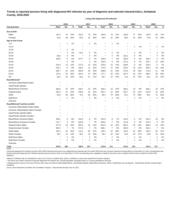# **Trends in reported persons living with diagnosed HIV infection by year of diagnosis and selected characteristics, Ashtabula County, 2016-2020**

**Living with Diagnosed HIV Infection**

|                                              |                   | 2016           |       |                   | 2017                    |       |                   | 2018 |       | 2019              |                  |       | 2020              |                |     |
|----------------------------------------------|-------------------|----------------|-------|-------------------|-------------------------|-------|-------------------|------|-------|-------------------|------------------|-------|-------------------|----------------|-----|
| <b>Characteristic</b>                        | Rate <sup>a</sup> | No.            | %     | Rate <sup>a</sup> | No.                     | %     | Rate <sup>a</sup> | No.  | %     | Rate <sup>a</sup> | No.              | %     | Rate <sup>a</sup> | No.            | %   |
| Sex at birth                                 |                   |                |       |                   |                         |       |                   |      |       |                   |                  |       |                   |                |     |
| Males                                        | 141.3             | 70             | 70%   | 152.2             | 75                      | 70%   | 160.8             | 79   | 71%   | 156.9             | 77               | 70%   | 170.9             | 83             | 71% |
| Females                                      | 61.6              | 30             | 30%   | 65.9              | 32                      | 30%   | 66.2              | 32   | 29%   | 68.5              | 33               | 30%   | 70.9              | 34             | 29% |
| Age at end of year                           |                   |                |       |                   |                         |       |                   |      |       |                   |                  |       |                   |                |     |
| < 13                                         | $\star$           | $\mathbf{1}$   | 1%    |                   | 1                       | 1%    |                   | 1    | 1%    |                   |                  |       |                   |                |     |
| $13 - 14$                                    |                   |                |       |                   |                         |       |                   |      |       |                   | 1                | 1%    |                   | 1              | 1%  |
| 15-19                                        |                   | -1             | $1\%$ |                   |                         |       |                   |      |       |                   |                  |       |                   |                |     |
| 20-24                                        |                   | 4              | 4%    | 92.2              | 5                       | 5%    | ź                 | 2    | 2%    |                   | 3                | 3%    |                   | 3              | 3%  |
| 25-29                                        | 86.8              | 5              | 5%    |                   | 4                       | 4%    | $\star$           | 4    | 4%    | 101.2             | 6                | 5%    |                   | 4              | 3%  |
| 30-34                                        | 108.0             | 6              | 6%    | 147.7             | 8                       | 7%    | 130.8             | 7    | 6%    | 109.0             | 6                | 5%    | 108.7             | 6              | 5%  |
| 35-39                                        | $\star$           | 4              | 4%    |                   | 4                       | 4%    | 163.0             | 9    | 8%    | 147.4             | 8                | 7%    | 224.7             | 12             | 10% |
| 40-44                                        | 231.6             | 13             | 13%   | 272.3             | 15                      | 14%   | 278.8             | 15   | 14%   | 168.9             | 9                | 8%    | 150.4             | 8              | 7%  |
| 45-49                                        | 135.1             | 9              | 9%    | 168.4             | 11                      | 10%   | 173.0             | 11   | 10%   | 243.4             | 15               | 14%   | 303.4             | 18             | 15% |
| 50-54                                        | 305.7             | 22             | 22%   | 285.8             | 20                      | 19%   | 309.8             | 21   | 19%   | 273.0             | 18               | 16%   | 173.0             | 11             | 9%  |
| 55-64                                        | 170.5             | 25             | 25%   | 184.3             | 27                      | 25%   | 177.7             | 26   | 23%   | 207.4             | 30               | 27%   | 266.4             | 38             | 32% |
| $65+$                                        | 56.2              | 10             | 10%   | 66.1              | 12                      | 11%   | 80.7              | 15   | 14%   | 73.4              | 14               | 13%   | 82.1              | 16             | 14% |
| Race/Ethnicity <sup>b</sup>                  |                   |                |       |                   |                         |       |                   |      |       |                   |                  |       |                   |                |     |
| American Indian/Alaska Native                | $\star$           |                |       |                   |                         |       |                   |      |       |                   |                  |       |                   |                |     |
| Asian/Pacific Islander                       |                   |                |       |                   |                         |       |                   |      |       |                   |                  |       |                   |                |     |
| Black/African-American                       | 466.6             | 16             | 16%   | 438.7             | 15                      | 14%   | 440.3             | 15   | 14%   | 296.1             | 10               | 9%    | 498.1             | 16             | 14% |
| Hispanic/Latinx                              | 544.0             | 22             | 22%   | 530.8             | 22                      | 21%   | 522.1             | 22   | 20%   | 532.7             | 23               | 21%   | 514.8             | 23             | 20% |
| White                                        | 65.8              | 58             | 58%   | 75.4              | 66                      | 62%   | 80.4              | 70   | 63%   | 84.1              | 73               | 66%   | 86.1              | 74             | 63% |
| Multi-Race                                   | $\star$           | 4              | 4%    |                   | 4                       | 4%    | ×                 | 4    | 4%    |                   | 4                | 4%    |                   | 4              | 3%  |
| Unknown                                      |                   |                |       |                   |                         |       |                   |      |       |                   |                  |       |                   |                |     |
| Race/Ethnicity <sup>b</sup> and Sex at birth |                   |                |       |                   |                         |       |                   |      |       |                   |                  |       |                   |                |     |
| American Indian/Alaska Native Males          |                   |                |       |                   |                         |       |                   |      |       |                   |                  |       |                   |                |     |
| American Indian/Alaska Native Females        |                   |                |       |                   |                         |       |                   |      |       |                   |                  |       |                   |                |     |
| Asian/Pacific Islander Males                 |                   |                |       |                   |                         |       |                   |      |       |                   |                  |       |                   |                |     |
| Asian/Pacific Islander Females               |                   |                |       |                   |                         |       |                   |      |       |                   |                  |       |                   |                |     |
| <b>Black/African-American Males</b>          | 339.1             | 8              | 8%    | 342.6             | 8                       | 7%    | 341.9             | 8    | 7%    | 215.3             | 5                | 5%    | 461.0             | 10             | 9%  |
| <b>Black/African-American Females</b>        | 747.7             | 8              | 8%    | 645.8             | 7                       | 7%    | 656.0             | 7    | 6%    | 473.9             | 5                | 5%    | 575.3             | 6              | 5%  |
| Hispanic/Latino Males                        | 677.8             | 15             | 15%   | 662.3             | 15                      | 14%   | 651.6             | 15   | 14%   | 684.3             | 16               | 15%   | 660.6             | 16             | 14% |
| Hispanic/Latina Females                      | 382.3             | 7              | $7\%$ | 372.3             | 7                       | 7%    | 366.1             | 7    | $6\%$ | 353.5             | 7                | $6\%$ | 342.1             | 7              | 6%  |
| <b>White Males</b>                           | 103.1             | 45             | 45%   | 115.4             | 50                      | 47%   | 125.3             | 54   | 49%   | 125.4             | 54               | 49%   | 129.2             | 55             | 47% |
| <b>White Females</b>                         | 29.2              | 13             | 13%   | 36.2              | 16                      | 15%   | 36.4              | 16   | 14%   | 43.4              | 19               | 17%   | 43.8              | 19             | 16% |
| Multi-Race Males                             | $\star$           | $\overline{c}$ | 2%    |                   | 2                       | 2%    | $\ast$            | 2    | 2%    | $\ast$            | 2                | 2%    |                   | 2              | 2%  |
| Multi-Race Females                           | $\star$           | $\sqrt{2}$     | $2\%$ | $\ast$            | $\overline{\mathbf{c}}$ | $2\%$ | $\star$           | 2    | 2%    | $\ast$            | $\boldsymbol{2}$ | $2\%$ | *                 | $\overline{c}$ | 2%  |
| Unknown                                      | $\star$           |                |       | $\star$           |                         |       | $\star$           |      |       | $\star$           |                  |       |                   |                |     |
| <b>Total</b>                                 | 101.8             | 100            |       | 109.4             | 107                     |       | 113.9             | 111  |       | 113.1             | 110              |       | 121.2             | 117            |     |
| Notes:                                       |                   |                |       |                   |                         |       |                   |      |       |                   |                  |       |                   |                |     |

Living with diagnosed HIV infection by year (2016-2020) represents all persons ever diagnosed and reported with HIV and/or AIDS who have not been reported as having died as of December 31 of the corresponding year. Persons living with diagnosed HIV infection represent persons living in Ohio as of December 31 of the corresponding year, regardless of whether the person was a resident of Ohio at time of initial HIV and/or AIDS diagnosis.

Asterisk (\*) indicates rate not calculated for case count <5 due to unstable rates. Dash (-) indicates no cases were reported for the given category.

<sup>a</sup> The rate is the number of persons living with diagnosed HIV infection per 100,000 population calculated using U.S. Census estimates for that year.

ᵇ Hispanics/Latinx may be of any race. Persons with a race of American Indian/Alaska Native, Asian/Pacific Islander, Black/African-American, White, or Multi-Race are not-Hispanic. Asian/Pacific Islander includes Native Hawaiians.